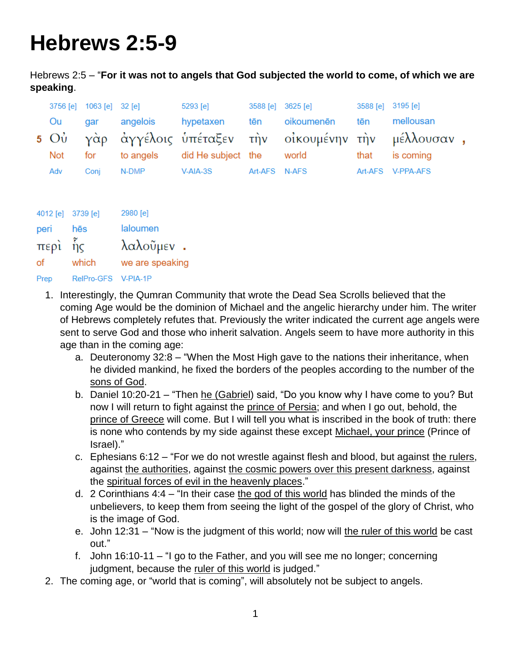## **Hebrews 2:5-9**

Hebrews 2:5 – "**For it was not to angels that God subjected the world to come, of which we are speaking**.

|      | 3756 [e]       |                                     | 1063 [e]   | 32 [e]            | 5293 [e]       | 3588 [e]                     | 3625 [e]   | 3588 [e]                    | 3195 [e]         |  |
|------|----------------|-------------------------------------|------------|-------------------|----------------|------------------------------|------------|-----------------------------|------------------|--|
|      | Ou             |                                     | gar        | angelois          | hypetaxen      | tēn                          | oikoumenēn | tēn                         | mellousan        |  |
|      | $5\ \text{O}v$ |                                     | γὰρ        | άγγέλοις ὑπέταξεν |                | $\overrightarrow{\text{ln}}$ | οίκουμένην | $\overrightarrow{\text{t}}$ | μέλλουσαν,       |  |
|      | <b>Not</b>     |                                     | for        | to angels         | did He subject | the                          | world      | that                        | is coming        |  |
|      | Adv            |                                     | Conj       | N-DMP             | V-AIA-3S       | Art-AFS                      | N-AFS      | Art-AFS                     | <b>V-PPA-AFS</b> |  |
|      |                |                                     |            |                   |                |                              |            |                             |                  |  |
|      | $4012$ [e]     | 3739 [e]                            |            | 2980 [e]          |                |                              |            |                             |                  |  |
| peri |                | hēs                                 |            | laloumen          |                |                              |            |                             |                  |  |
|      | περί           | $\tilde{\mathfrak{h}}_{\mathsf{S}}$ |            | λαλοῦμεν.         |                |                              |            |                             |                  |  |
| of   |                | which                               |            | we are speaking   |                |                              |            |                             |                  |  |
| Prep |                |                                     | RelPro-GFS | V-PIA-1P          |                |                              |            |                             |                  |  |

- 1. Interestingly, the Qumran Community that wrote the Dead Sea Scrolls believed that the coming Age would be the dominion of Michael and the angelic hierarchy under him. The writer of Hebrews completely refutes that. Previously the writer indicated the current age angels were sent to serve God and those who inherit salvation. Angels seem to have more authority in this age than in the coming age:
	- a. Deuteronomy 32:8 "When the Most High gave to the nations their inheritance, when he divided mankind, he fixed the borders of the peoples according to the number of the sons of God.
	- b. Daniel 10:20-21 "Then he (Gabriel) said, "Do you know why I have come to you? But now I will return to fight against the prince of Persia; and when I go out, behold, the prince of Greece will come. But I will tell you what is inscribed in the book of truth: there is none who contends by my side against these except Michael, your prince (Prince of Israel)."
	- c. Ephesians  $6:12 -$  "For we do not wrestle against flesh and blood, but against the rulers, against the authorities, against the cosmic powers over this present darkness, against the spiritual forces of evil in the heavenly places."
	- d. 2 Corinthians 4:4 "In their case the god of this world has blinded the minds of the unbelievers, to keep them from seeing the light of the gospel of the glory of Christ, who is the image of God.
	- e. John 12:31 "Now is the judgment of this world; now will the ruler of this world be cast out."
	- f. John 16:10-11 "I go to the Father, and you will see me no longer; concerning judgment, because the ruler of this world is judged."
- 2. The coming age, or "world that is coming", will absolutely not be subject to angels.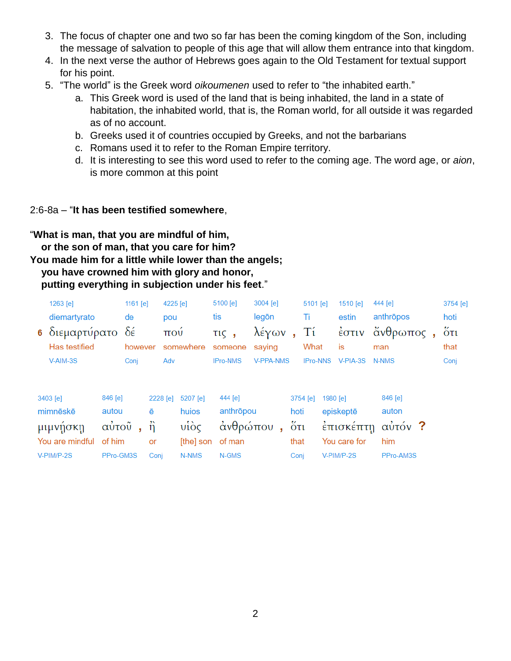- 3. The focus of chapter one and two so far has been the coming kingdom of the Son, including the message of salvation to people of this age that will allow them entrance into that kingdom.
- 4. In the next verse the author of Hebrews goes again to the Old Testament for textual support for his point.
- 5. "The world" is the Greek word *oikoumenen* used to refer to "the inhabited earth."
	- a. This Greek word is used of the land that is being inhabited, the land in a state of habitation, the inhabited world, that is, the Roman world, for all outside it was regarded as of no account.
	- b. Greeks used it of countries occupied by Greeks, and not the barbarians
	- c. Romans used it to refer to the Roman Empire territory.
	- d. It is interesting to see this word used to refer to the coming age. The word age, or *aion*, is more common at this point

## 2:6-8a – "**It has been testified somewhere**,

## "**What is man, that you are mindful of him, or the son of man, that you care for him? You made him for a little while lower than the angels; you have crowned him with glory and honor, putting everything in subjection under his feet**."

| 1263 [e]             |                  | 1161 $[e]$ |               | $4225$ [e]        | 5100 [e]             | 3004 [e]         |         | 5101 [e]             | 1510 [e]     | 444 [e]          | 3754 [e]               |
|----------------------|------------------|------------|---------------|-------------------|----------------------|------------------|---------|----------------------|--------------|------------------|------------------------|
| diemartyrato         |                  | de         | pou           |                   | tis                  | legōn            |         | Τi                   | estin        | anthropos        | hoti                   |
| 6 διεμαρτύρατο δέ    |                  |            | $\pi$ ov      |                   | τις,                 | λέγων            |         | Τí                   | έστιν        | άνθρωπος,        | $\ddot{\mathrm{o}}$ ti |
| Has testified        |                  | however    |               | somewhere         | someone              | saying           |         | What                 | is           | man              | that                   |
| $V-AIM-3S$           |                  | Conj       | Adv           |                   | <b>IPro-NMS</b>      | <b>V-PPA-NMS</b> |         | IPro-NNS             | $V-PIA-3S$   | N-NMS            | Conj                   |
| 3403 [e]<br>mimnēskē | 846 [e]<br>autou |            | 2228 [e]<br>ē | 5207 [e]<br>huios | 444 [e]<br>anthropou |                  | hoti    | 3754 [e]<br>1980 [e] | episkeptē    | 846 [e]<br>auton |                        |
| μιμνήσκη             | αὐτοῦ            |            | ñ             | $\vec{v}$         |                      | άνθρώπου,        | $5\tau$ |                      | έπισκέπτη    | αὐτόν?           |                        |
| You are mindful      | of him           |            | or            | [the] son         | of man               |                  | that    |                      | You care for | him              |                        |
| V-PIM/P-2S           | PPro-GM3S        |            | Conj          | N-NMS             | N-GMS                |                  | Conj    |                      | V-PIM/P-2S   | PPro-AM3S        |                        |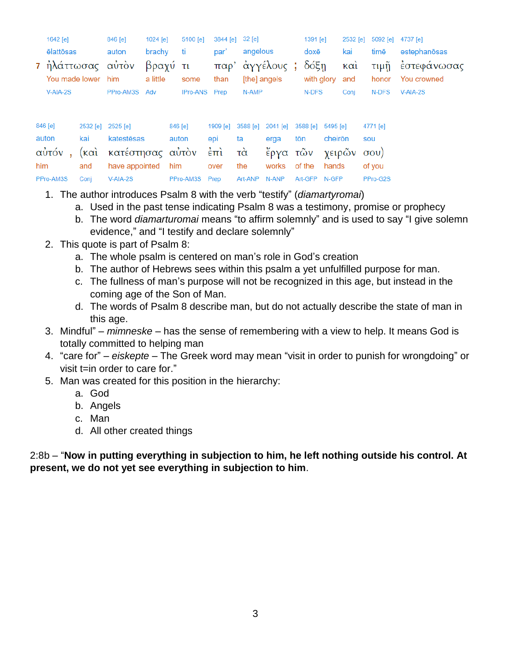|                | $1642$ [e]        |     | 846 [e]           | 1024 [e] | 5100 [e]      |                  | 3844 [e] 32 [e]   |                          | 1391 [e]          |                | 2532 [e]              | 5092 [e] 4737 [e] |              |
|----------------|-------------------|-----|-------------------|----------|---------------|------------------|-------------------|--------------------------|-------------------|----------------|-----------------------|-------------------|--------------|
|                | <b>ēlatt</b> osas |     | auton             | brachy   | ti            | par <sup>'</sup> | angelous          |                          | doxē              |                | kai                   | timē              | estephanosas |
|                | 7 ήλάττωσας αυτόν |     |                   | βραχύ τι |               |                  |                   | παρ' άγγέλους ; δόξη     |                   |                | $\kappa$ $\alpha$     | τιμῆ              | έστεφάνωσας  |
| You made lower |                   |     | him               | a little | some          | than             |                   | [the] angels             |                   | with glory and |                       | honor             | You crowned  |
|                | $V-AIA-2S$        |     | PPro-AM3S Adv     |          | IPro-ANS Prep |                  | N-AMP             |                          | N-DFS             |                | Conj                  | N-DFS             | $V-AIA-2S$   |
|                |                   |     |                   |          |               |                  |                   |                          |                   |                |                       |                   |              |
|                | 846 [e]           |     | 2532 [e] 2525 [e] |          | 846 [e]       | 1909 [e]         | 3588 [e] 2041 [e] |                          | 3588 [e] 5495 [e] |                |                       | 4771 [e]          |              |
|                | auton             | kai | katestēsas        |          | auton         | epi              | ta                | erga                     | tōn               | cheirōn        |                       | sou               |              |
|                |                   |     |                   |          |               |                  | $\sim$            | $\overline{\phantom{a}}$ |                   |                | $\tilde{\phantom{a}}$ |                   |              |

|                         | αύτόν , (καὶ κατέστησας αύτὸν έπὶ τὰ - ἔργα τῶν χειρῶν σου) - |                                            |  |  |                                    |          |
|-------------------------|---------------------------------------------------------------|--------------------------------------------|--|--|------------------------------------|----------|
| him                     | and have appointed him                                        |                                            |  |  | over the works of the hands of vou |          |
| PPro-AM3S Coni V-AIA-2S |                                                               | PPro-AM3S Prep Art-ANP N-ANP Art-GFP N-GFP |  |  |                                    | PPro-G2S |

- 1. The author introduces Psalm 8 with the verb "testify" (*diamartyromai*)
	- a. Used in the past tense indicating Psalm 8 was a testimony, promise or prophecy
	- b. The word *diamarturomai* means "to affirm solemnly" and is used to say "I give solemn evidence," and "I testify and declare solemnly"
- 2. This quote is part of Psalm 8:
	- a. The whole psalm is centered on man's role in God's creation
	- b. The author of Hebrews sees within this psalm a yet unfulfilled purpose for man.
	- c. The fullness of man's purpose will not be recognized in this age, but instead in the coming age of the Son of Man.
	- d. The words of Psalm 8 describe man, but do not actually describe the state of man in this age.
- 3. Mindful" *mimneske* has the sense of remembering with a view to help. It means God is totally committed to helping man
- 4. "care for" *eiskepte* The Greek word may mean "visit in order to punish for wrongdoing" or visit t=in order to care for."
- 5. Man was created for this position in the hierarchy:
	- a. God
	- b. Angels
	- c. Man
	- d. All other created things

2:8b – "**Now in putting everything in subjection to him, he left nothing outside his control. At present, we do not yet see everything in subjection to him**.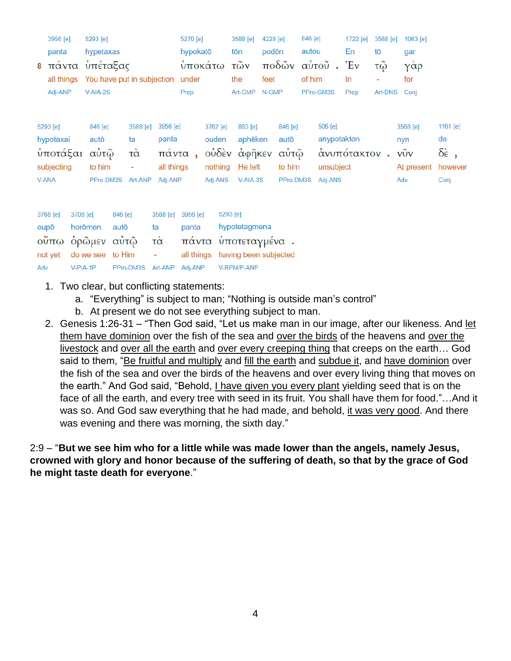| 3956 [e] | 5293 [e]                                    | 5270 [e]                       | 3588 [e] 4228 [e] |       | 846 [e]   |       | 1722 [e] 3588 [e] 1063 [e] |     |
|----------|---------------------------------------------|--------------------------------|-------------------|-------|-----------|-------|----------------------------|-----|
| panta    | hypetaxas                                   | hvpokatō                       | tōn               | podōn | autou     | En.   |                            | dar |
|          | <b>8</b> πάντα υπέταξας                     | ύποκάτω τῶν ποδῶν αὐτοῦ. Ἐν τῷ |                   |       |           |       |                            | Υαρ |
|          | all things You have put in subjection under |                                | the               | feet  | of him    | $\ln$ | ÷.                         | for |
| Adj-ANP  | V-AIA-2S                                    | Prep                           | Art-GMP N-GMP     |       | PPro-GM3S | Prep  | Art-DNS Conj               |     |

| 5293 [e]                       | 846 [e]                   | 3588 [e] 3956 [e] |       | 3762 [e] | 863 [e]                | 846 [e]           | 506 [e]                                                        | 3568 [e]           | 1161 $[e]$ |
|--------------------------------|---------------------------|-------------------|-------|----------|------------------------|-------------------|----------------------------------------------------------------|--------------------|------------|
| hypotaxai                      | autō                      | ta                | panta |          | ouden aphēken autō     |                   | anypotakton                                                    | nvn                | de         |
|                                |                           |                   |       |          |                        |                   | ύποτάξαι αύτῷ τὰ πάντα, οὐδὲν ἀφῆκεν αὐτῷ ἀνυπότακτον. νῦν δὲ, |                    |            |
| subjecting to him - all things |                           |                   |       |          | nothing He left to him |                   | unsubiect                                                      | At present however |            |
| V-ANA                          | PPro-DM3S Art-ANP Adj-ANP |                   |       |          | Adj-ANS V-AIA-3S       | PPro-DM3S Adj-ANS |                                                                | Adv                | Conj       |

|     | 3768 [e] 3708 [e] 846 [e] |  | 3588 [e] 3956 [e] | 5293 [e]                                                    |
|-----|---------------------------|--|-------------------|-------------------------------------------------------------|
|     | oupō horōmen autō ta      |  |                   | panta hypotetagmena                                         |
|     |                           |  |                   | ούπω δρῶμεν αὐτῷ τὰ πάντα ὑποτεταγμένα.                     |
|     |                           |  |                   | not yet do we see to Him - all things having been subjected |
| Adv |                           |  |                   | V-PIA-1P PPro-DM3S Art-ANP Adi-ANP V-RPM/P-ANP              |

- 1. Two clear, but conflicting statements:
	- a. "Everything" is subject to man; "Nothing is outside man's control"
	- b. At present we do not see everything subject to man.
- 2. Genesis 1:26-31 "Then God said, "Let us make man in our image, after our likeness. And let them have dominion over the fish of the sea and over the birds of the heavens and over the livestock and over all the earth and over every creeping thing that creeps on the earth… God said to them, "Be fruitful and multiply and fill the earth and subdue it, and have dominion over the fish of the sea and over the birds of the heavens and over every living thing that moves on the earth." And God said, "Behold, I have given you every plant yielding seed that is on the face of all the earth, and every tree with seed in its fruit. You shall have them for food."…And it was so. And God saw everything that he had made, and behold, it was very good. And there was evening and there was morning, the sixth day."

2:9 – "**But we see him who for a little while was made lower than the angels, namely Jesus, crowned with glory and honor because of the suffering of death, so that by the grace of God he might taste death for everyone**."